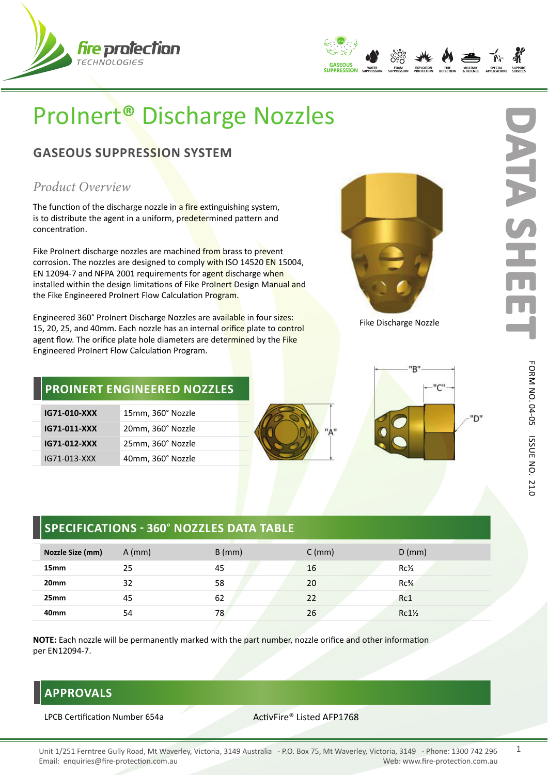



# ProInert**®** Discharge Nozzles

# **GASEOUS SUPPRESSION SYSTEM**

## *Product Overview*

The function of the discharge nozzle in a fire extinguishing system, is to distribute the agent in a uniform, predetermined pattern and concentration.

Fike ProInert discharge nozzles are machined from brass to prevent corrosion. The nozzles are designed to comply with ISO 14520 EN 15004, EN 12094-7 and NFPA 2001 requirements for agent discharge when installed within the design limitations of Fike ProInert Design Manual and the Fike Engineered ProInert Flow Calculation Program.

Engineered 360° ProInert Discharge Nozzles are available in four sizes: 15, 20, 25, and 40mm. Each nozzle has an internal orifice plate to control agent flow. The orifice plate hole diameters are determined by the Fike Engineered ProInert Flow Calculation Program.



Fike Discharge Nozzle

## **PROINERT ENGINEERED NOZZLES**

| IG71-010-XXX | 15mm, 360° Nozzle |
|--------------|-------------------|
| IG71-011-XXX | 20mm, 360° Nozzle |
| IG71-012-XXX | 25mm, 360° Nozzle |
| IG71-013-XXX | 40mm, 360° Nozzle |



**D**

ATA

**ATA SHEET**

# **SPECIFICATIONS - 360**° **NOZZLES DATA TABLE**

| Nozzle Size (mm) | $A$ (mm) | $B$ (mm) | $C$ (mm) | $D$ (mm)         |
|------------------|----------|----------|----------|------------------|
| 15 <sub>mm</sub> | 25       | 45       | 16       | $Rc\frac{1}{2}$  |
| 20 <sub>mm</sub> | 32       | 58       | 20       | $Rc\frac{3}{4}$  |
| 25mm             | 45       | 62       | 22       | Rc1              |
| 40 <sub>mm</sub> | 54       | 78       | 26       | $Rc1\frac{1}{2}$ |

**NOTE:** Each nozzle will be permanently marked with the part number, nozzle orifice and other information per EN12094-7.

# **APPROVALS**

LPCB Certification Number 654a ActivFire® Listed AFP1768

### Unit 1/251 Ferntree Gully Road, Mt Waverley, Victoria, 3149 Australia - P.O. Box 75, Mt Waverley, Victoria, 3149 - Phone: 1300 742 296 Email: enquiries@fire-protection.com.au Web: www.fire-protection.com.au

1